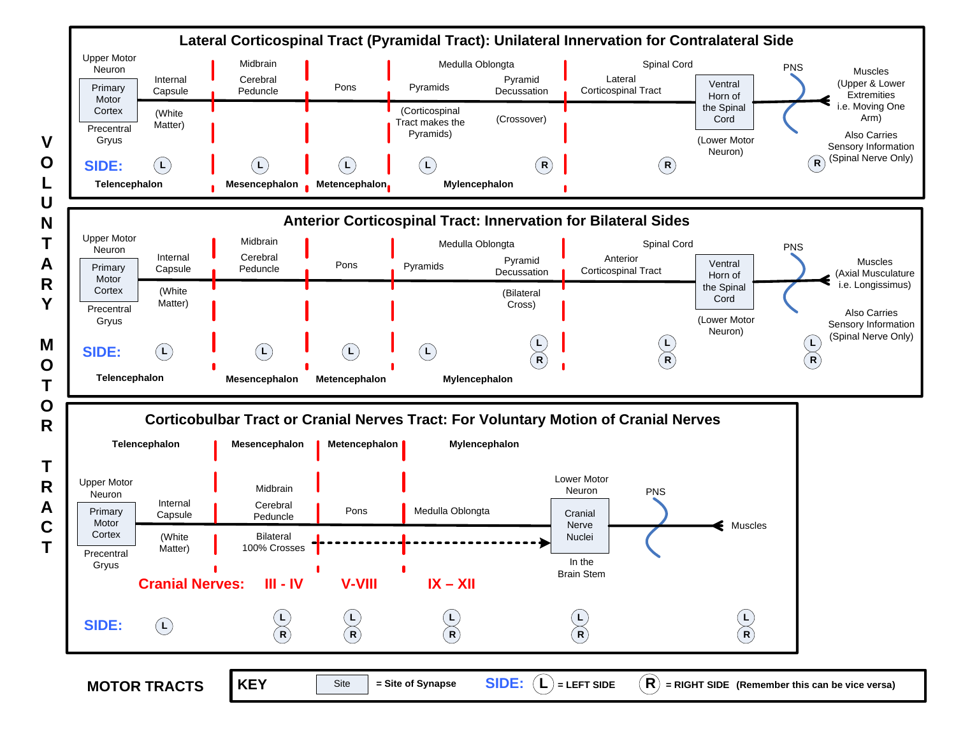